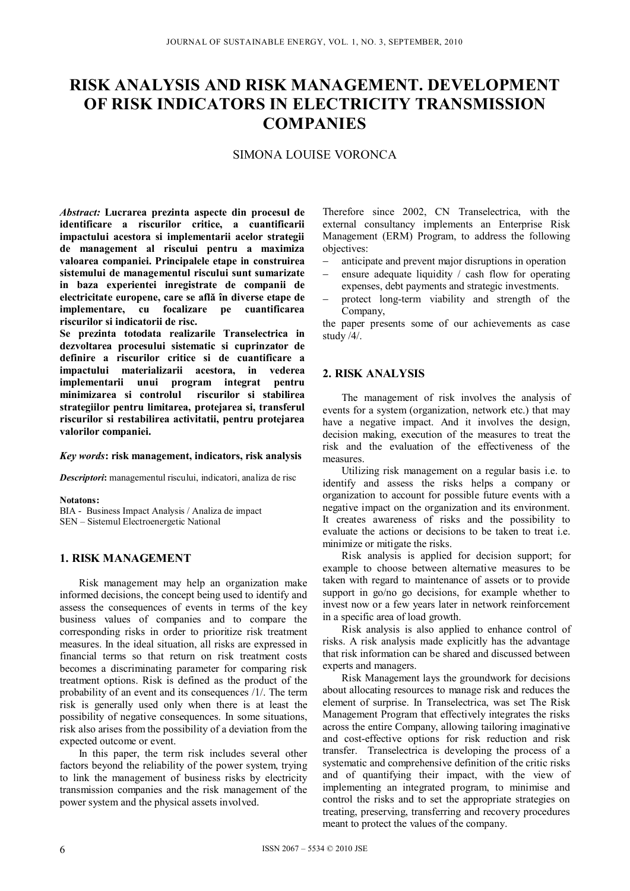# **RISK ANALYSIS AND RISK MANAGEMENT. DEVELOPMENT OF RISK INDICATORS IN ELECTRICITY TRANSMISSION COMPANIES**

# SIMONA LOUISE VORONCA

*Abstract:* **Lucrarea prezinta aspecte din procesul de identificare a riscurilor critice, a cuantificarii impactului acestora si implementarii acelor strategii de management al riscului pentru a maximiza valoarea companiei. Principalele etape in construirea sistemului de managementul riscului sunt sumarizate in baza experientei inregistrate de companii de electricitate europene, care se află în diverse etape de implementare, cu focalizare pe cuantificarea riscurilor si indicatorii de risc.** 

**Se prezinta totodata realizarile Transelectrica in dezvoltarea procesului sistematic si cuprinzator de definire a riscurilor critice si de cuantificare a impactului materializarii acestora, in vederea implementarii unui program integrat pentru minimizarea si controlul riscurilor si stabilirea strategiilor pentru limitarea, protejarea si, transferul riscurilor si restabilirea activitatii, pentru protejarea valorilor companiei.** 

#### *Key words***: risk management, indicators, risk analysis**

*Descriptori***:** managementul riscului, indicatori, analiza de risc

**Notatons:** 

BIA - Business Impact Analysis / Analiza de impact SEN – Sistemul Electroenergetic National

## **1. RISK MANAGEMENT**

Risk management may help an organization make informed decisions, the concept being used to identify and assess the consequences of events in terms of the key business values of companies and to compare the corresponding risks in order to prioritize risk treatment measures. In the ideal situation, all risks are expressed in financial terms so that return on risk treatment costs becomes a discriminating parameter for comparing risk treatment options. Risk is defined as the product of the probability of an event and its consequences /1/. The term risk is generally used only when there is at least the possibility of negative consequences. In some situations, risk also arises from the possibility of a deviation from the expected outcome or event.

In this paper, the term risk includes several other factors beyond the reliability of the power system, trying to link the management of business risks by electricity transmission companies and the risk management of the power system and the physical assets involved.

Therefore since 2002, CN Transelectrica, with the external consultancy implements an Enterprise Risk Management (ERM) Program, to address the following objectives:

- anticipate and prevent major disruptions in operation
- ensure adequate liquidity / cash flow for operating
- expenses, debt payments and strategic investments. protect long-term viability and strength of the
- Company,

the paper presents some of our achievements as case study /4/.

## **2. RISK ANALYSIS**

The management of risk involves the analysis of events for a system (organization, network etc.) that may have a negative impact. And it involves the design, decision making, execution of the measures to treat the risk and the evaluation of the effectiveness of the measures.

Utilizing risk management on a regular basis i.e. to identify and assess the risks helps a company or organization to account for possible future events with a negative impact on the organization and its environment. It creates awareness of risks and the possibility to evaluate the actions or decisions to be taken to treat i.e. minimize or mitigate the risks.

Risk analysis is applied for decision support; for example to choose between alternative measures to be taken with regard to maintenance of assets or to provide support in go/no go decisions, for example whether to invest now or a few years later in network reinforcement in a specific area of load growth.

Risk analysis is also applied to enhance control of risks. A risk analysis made explicitly has the advantage that risk information can be shared and discussed between experts and managers.

Risk Management lays the groundwork for decisions about allocating resources to manage risk and reduces the element of surprise. In Transelectrica, was set The Risk Management Program that effectively integrates the risks across the entire Company, allowing tailoring imaginative and cost-effective options for risk reduction and risk transfer. Transelectrica is developing the process of a systematic and comprehensive definition of the critic risks and of quantifying their impact, with the view of implementing an integrated program, to minimise and control the risks and to set the appropriate strategies on treating, preserving, transferring and recovery procedures meant to protect the values of the company.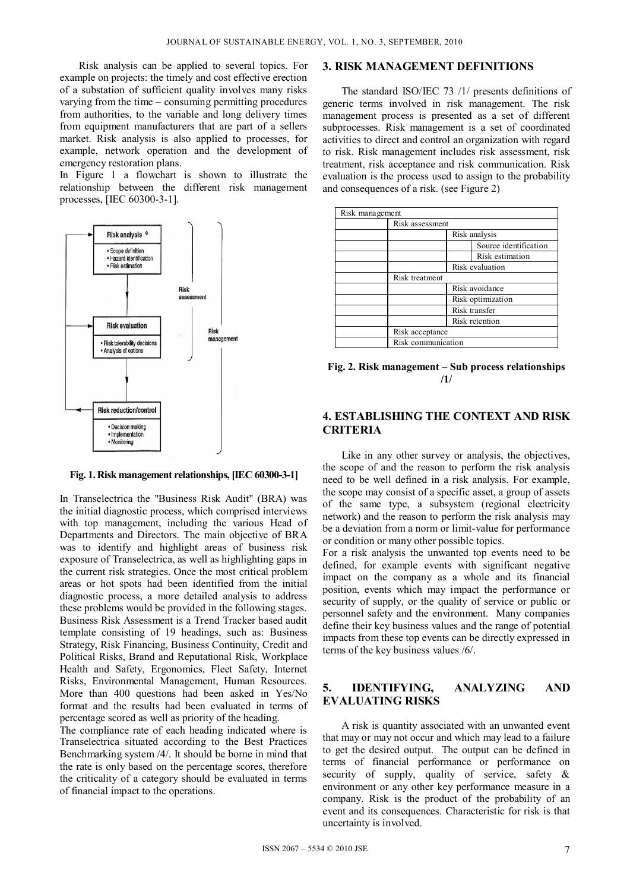Risk analysis can be applied to several topics. For example on projects: the timely and cost effective erection of a substation of sufficient quality involves many risks varying from the time – consuming permitting procedures from authorities, to the variable and long delivery times from equipment manufacturers that are part of a sellers market. Risk analysis is also applied to processes, for example, network operation and the development of emergency restoration plans.

In Figure 1 a flowchart is shown to illustrate the relationship between the different risk management processes, [IEC 60300-3-1].



#### **Fig. 1. Risk management relationships, [IEC 60300-3-1]**

In Transelectrica the "Business Risk Audit" (BRA) was the initial diagnostic process, which comprised interviews with top management, including the various Head of Departments and Directors. The main objective of BRA was to identify and highlight areas of business risk exposure of Transelectrica, as well as highlighting gaps in the current risk strategies. Once the most critical problem areas or hot spots had been identified from the initial diagnostic process, a more detailed analysis to address these problems would be provided in the following stages. Business Risk Assessment is a Trend Tracker based audit template consisting of 19 headings, such as: Business Strategy, Risk Financing, Business Continuity, Credit and Political Risks, Brand and Reputational Risk, Workplace Health and Safety, Ergonomics, Fleet Safety, Internet Risks, Environmental Management, Human Resources. More than 400 questions had been asked in Yes/No format and the results had been evaluated in terms of percentage scored as well as priority of the heading.

The compliance rate of each heading indicated where is Transelectrica situated according to the Best Practices Benchmarking system /4/. It should be borne in mind that the rate is only based on the percentage scores, therefore the criticality of a category should be evaluated in terms of financial impact to the operations.

### **3. RISK MANAGEMENT DEFINITIONS**

The standard ISO/IEC 73 /1/ presents definitions of generic terms involved in risk management. The risk management process is presented as a set of different subprocesses. Risk management is a set of coordinated activities to direct and control an organization with regard to risk. Risk management includes risk assessment, risk treatment, risk acceptance and risk communication. Risk evaluation is the process used to assign to the probability and consequences of a risk. (see Figure 2)

| Risk management |                       |
|-----------------|-----------------------|
| Risk assessment |                       |
|                 | Risk analysis         |
|                 | Source identification |
|                 | Risk estimation       |
|                 | Risk evaluation       |
|                 | Risk treatment        |
|                 | Risk avoidance        |
|                 | Risk optimization     |
|                 | Risk transfer         |
|                 | Risk retention        |
| Risk acceptance |                       |
|                 | Risk communication    |

**Fig. 2. Risk management – Sub process relationships /1/** 

## **4. ESTABLISHING THE CONTEXT AND RISK CRITERIA**

Like in any other survey or analysis, the objectives, the scope of and the reason to perform the risk analysis need to be well defined in a risk analysis. For example, the scope may consist of a specific asset, a group of assets of the same type, a subsystem (regional electricity network) and the reason to perform the risk analysis may be a deviation from a norm or limit-value for performance or condition or many other possible topics.

For a risk analysis the unwanted top events need to be defined, for example events with significant negative impact on the company as a whole and its financial position, events which may impact the performance or security of supply, or the quality of service or public or personnel safety and the environment. Many companies define their key business values and the range of potential impacts from these top events can be directly expressed in terms of the key business values /6/.

## **5. IDENTIFYING, ANALYZING AND EVALUATING RISKS**

A risk is quantity associated with an unwanted event that may or may not occur and which may lead to a failure to get the desired output. The output can be defined in terms of financial performance or performance on security of supply, quality of service, safety & environment or any other key performance measure in a company. Risk is the product of the probability of an event and its consequences. Characteristic for risk is that uncertainty is involved.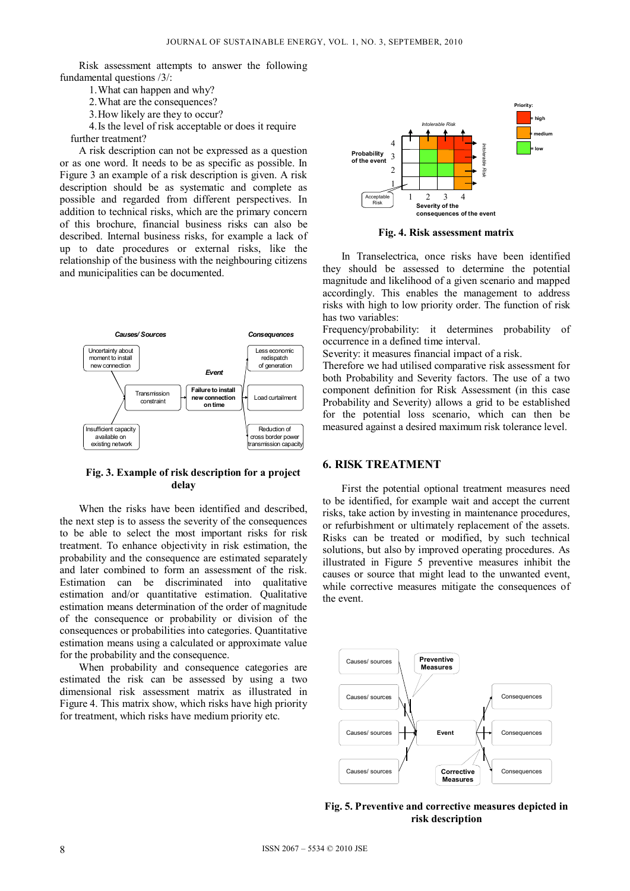Risk assessment attempts to answer the following fundamental questions /3/:

- 1.What can happen and why?
- 2.What are the consequences?
- 3.How likely are they to occur?

4.Is the level of risk acceptable or does it require further treatment?

A risk description can not be expressed as a question or as one word. It needs to be as specific as possible. In Figure 3 an example of a risk description is given. A risk description should be as systematic and complete as possible and regarded from different perspectives. In addition to technical risks, which are the primary concern of this brochure, financial business risks can also be described. Internal business risks, for example a lack of up to date procedures or external risks, like the relationship of the business with the neighbouring citizens and municipalities can be documented.



#### **Fig. 3. Example of risk description for a project delay**

When the risks have been identified and described, the next step is to assess the severity of the consequences to be able to select the most important risks for risk treatment. To enhance objectivity in risk estimation, the probability and the consequence are estimated separately and later combined to form an assessment of the risk. Estimation can be discriminated into qualitative estimation and/or quantitative estimation. Qualitative estimation means determination of the order of magnitude of the consequence or probability or division of the consequences or probabilities into categories. Quantitative estimation means using a calculated or approximate value for the probability and the consequence.

When probability and consequence categories are estimated the risk can be assessed by using a two dimensional risk assessment matrix as illustrated in Figure 4. This matrix show, which risks have high priority for treatment, which risks have medium priority etc.



**Fig. 4. Risk assessment matrix** 

In Transelectrica, once risks have been identified they should be assessed to determine the potential magnitude and likelihood of a given scenario and mapped accordingly. This enables the management to address risks with high to low priority order. The function of risk has two variables:

Frequency/probability: it determines probability of occurrence in a defined time interval.

Severity: it measures financial impact of a risk.

Therefore we had utilised comparative risk assessment for both Probability and Severity factors. The use of a two component definition for Risk Assessment (in this case Probability and Severity) allows a grid to be established for the potential loss scenario, which can then be measured against a desired maximum risk tolerance level.

## **6. RISK TREATMENT**

First the potential optional treatment measures need to be identified, for example wait and accept the current risks, take action by investing in maintenance procedures, or refurbishment or ultimately replacement of the assets. Risks can be treated or modified, by such technical solutions, but also by improved operating procedures. As illustrated in Figure 5 preventive measures inhibit the causes or source that might lead to the unwanted event, while corrective measures mitigate the consequences of the event.



**Fig. 5. Preventive and corrective measures depicted in risk description**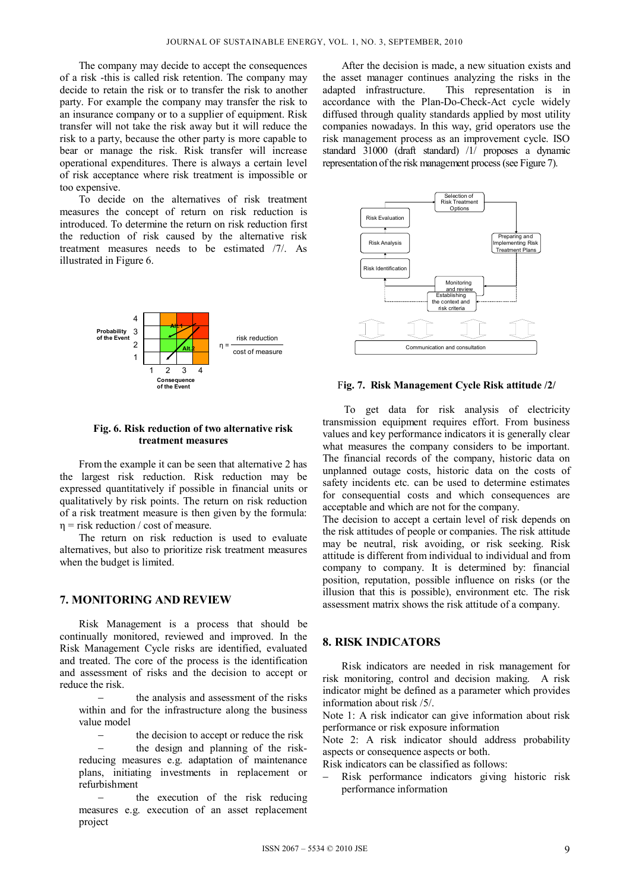The company may decide to accept the consequences of a risk -this is called risk retention. The company may decide to retain the risk or to transfer the risk to another party. For example the company may transfer the risk to an insurance company or to a supplier of equipment. Risk transfer will not take the risk away but it will reduce the risk to a party, because the other party is more capable to bear or manage the risk. Risk transfer will increase operational expenditures. There is always a certain level of risk acceptance where risk treatment is impossible or too expensive.

To decide on the alternatives of risk treatment measures the concept of return on risk reduction is introduced. To determine the return on risk reduction first the reduction of risk caused by the alternative risk treatment measures needs to be estimated /7/. As illustrated in Figure 6.



#### **Fig. 6. Risk reduction of two alternative risk treatment measures**

From the example it can be seen that alternative 2 has the largest risk reduction. Risk reduction may be expressed quantitatively if possible in financial units or qualitatively by risk points. The return on risk reduction of a risk treatment measure is then given by the formula:  $\eta$  = risk reduction / cost of measure.

The return on risk reduction is used to evaluate alternatives, but also to prioritize risk treatment measures when the budget is limited.

#### **7. MONITORING AND REVIEW**

Risk Management is a process that should be continually monitored, reviewed and improved. In the Risk Management Cycle risks are identified, evaluated and treated. The core of the process is the identification and assessment of risks and the decision to accept or reduce the risk.

 the analysis and assessment of the risks within and for the infrastructure along the business value model

 the decision to accept or reduce the risk the design and planning of the riskreducing measures e.g. adaptation of maintenance plans, initiating investments in replacement or refurbishment

 the execution of the risk reducing measures e.g. execution of an asset replacement project

After the decision is made, a new situation exists and the asset manager continues analyzing the risks in the adapted infrastructure. This representation is in accordance with the Plan-Do-Check-Act cycle widely diffused through quality standards applied by most utility companies nowadays. In this way, grid operators use the risk management process as an improvement cycle. ISO standard 31000 (draft standard) /1/ proposes a dynamic representation of the risk management process (see Figure 7).



#### F**ig. 7. Risk Management Cycle Risk attitude /2/**

To get data for risk analysis of electricity transmission equipment requires effort. From business values and key performance indicators it is generally clear what measures the company considers to be important. The financial records of the company, historic data on unplanned outage costs, historic data on the costs of safety incidents etc. can be used to determine estimates for consequential costs and which consequences are acceptable and which are not for the company.

The decision to accept a certain level of risk depends on the risk attitudes of people or companies. The risk attitude may be neutral, risk avoiding, or risk seeking. Risk attitude is different from individual to individual and from company to company. It is determined by: financial position, reputation, possible influence on risks (or the illusion that this is possible), environment etc. The risk assessment matrix shows the risk attitude of a company.

## **8. RISK INDICATORS**

Risk indicators are needed in risk management for risk monitoring, control and decision making. A risk indicator might be defined as a parameter which provides information about risk /5/.

Note 1: A risk indicator can give information about risk performance or risk exposure information

Note 2: A risk indicator should address probability aspects or consequence aspects or both.

Risk indicators can be classified as follows:

 Risk performance indicators giving historic risk performance information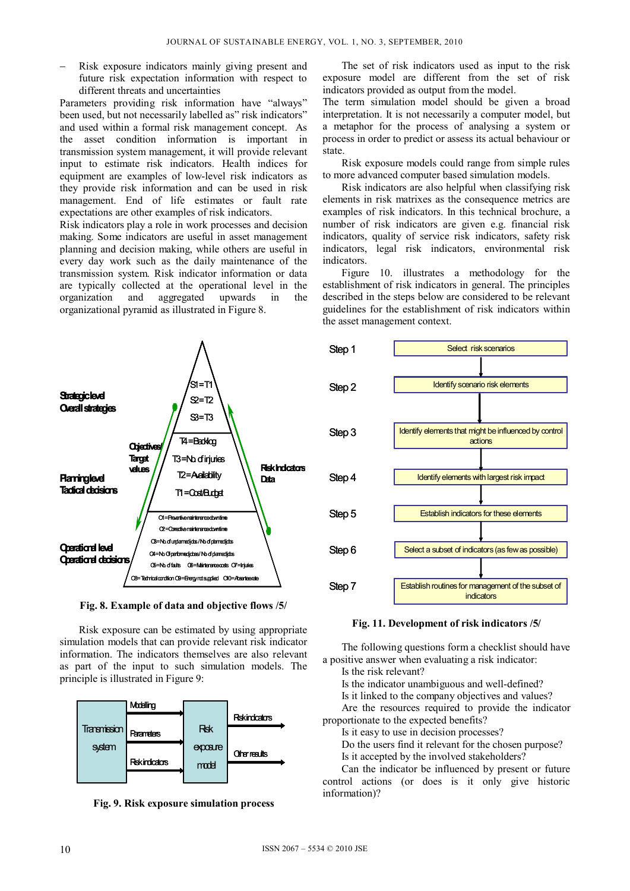Risk exposure indicators mainly giving present and future risk expectation information with respect to different threats and uncertainties

Parameters providing risk information have "always" been used, but not necessarily labelled as" risk indicators" and used within a formal risk management concept. As the asset condition information is important in transmission system management, it will provide relevant input to estimate risk indicators. Health indices for equipment are examples of low-level risk indicators as they provide risk information and can be used in risk management. End of life estimates or fault rate expectations are other examples of risk indicators.

Risk indicators play a role in work processes and decision making. Some indicators are useful in asset management planning and decision making, while others are useful in every day work such as the daily maintenance of the transmission system. Risk indicator information or data are typically collected at the operational level in the organization and aggregated upwards in the organizational pyramid as illustrated in Figure 8.

O1 = Preventive maintenance down time O2=Corrective maintenance down ti O3=No. of undamedidos / No. of planned jobs O4 = No. Of performed jobes/ No. of planned jobs O5 = No. of faults O6 = Maintenance costs O7 = Injuries T4=Badklog T3=No. of injuries T2=Aailability T1 = Cost/Budget  $M = T1$  $S2 = 72$  $S = 73$ **Strategic level Overall strategies Objective Target values Operational level Operational decisions Risk Indicators Planning level Tactical decisions**

**Fig. 8. Example of data and objective flows /5/** 

O8= Technical condition O9=Energy not supplied O10=Absentee rate

Risk exposure can be estimated by using appropriate simulation models that can provide relevant risk indicator information. The indicators themselves are also relevant as part of the input to such simulation models. The principle is illustrated in Figure 9:



**Fig. 9. Risk exposure simulation process** 

The set of risk indicators used as input to the risk exposure model are different from the set of risk indicators provided as output from the model.

The term simulation model should be given a broad interpretation. It is not necessarily a computer model, but a metaphor for the process of analysing a system or process in order to predict or assess its actual behaviour or state.

Risk exposure models could range from simple rules to more advanced computer based simulation models.

Risk indicators are also helpful when classifying risk elements in risk matrixes as the consequence metrics are examples of risk indicators. In this technical brochure, a number of risk indicators are given e.g. financial risk indicators, quality of service risk indicators, safety risk indicators, legal risk indicators, environmental risk indicators.

Figure 10. illustrates a methodology for the establishment of risk indicators in general. The principles described in the steps below are considered to be relevant guidelines for the establishment of risk indicators within the asset management context.



**Fig. 11. Development of risk indicators /5/** 

The following questions form a checklist should have a positive answer when evaluating a risk indicator:

Is the risk relevant?

Is the indicator unambiguous and well-defined?

Is it linked to the company objectives and values?

Are the resources required to provide the indicator proportionate to the expected benefits?

Is it easy to use in decision processes?

Do the users find it relevant for the chosen purpose? Is it accepted by the involved stakeholders?

Can the indicator be influenced by present or future control actions (or does is it only give historic information)?